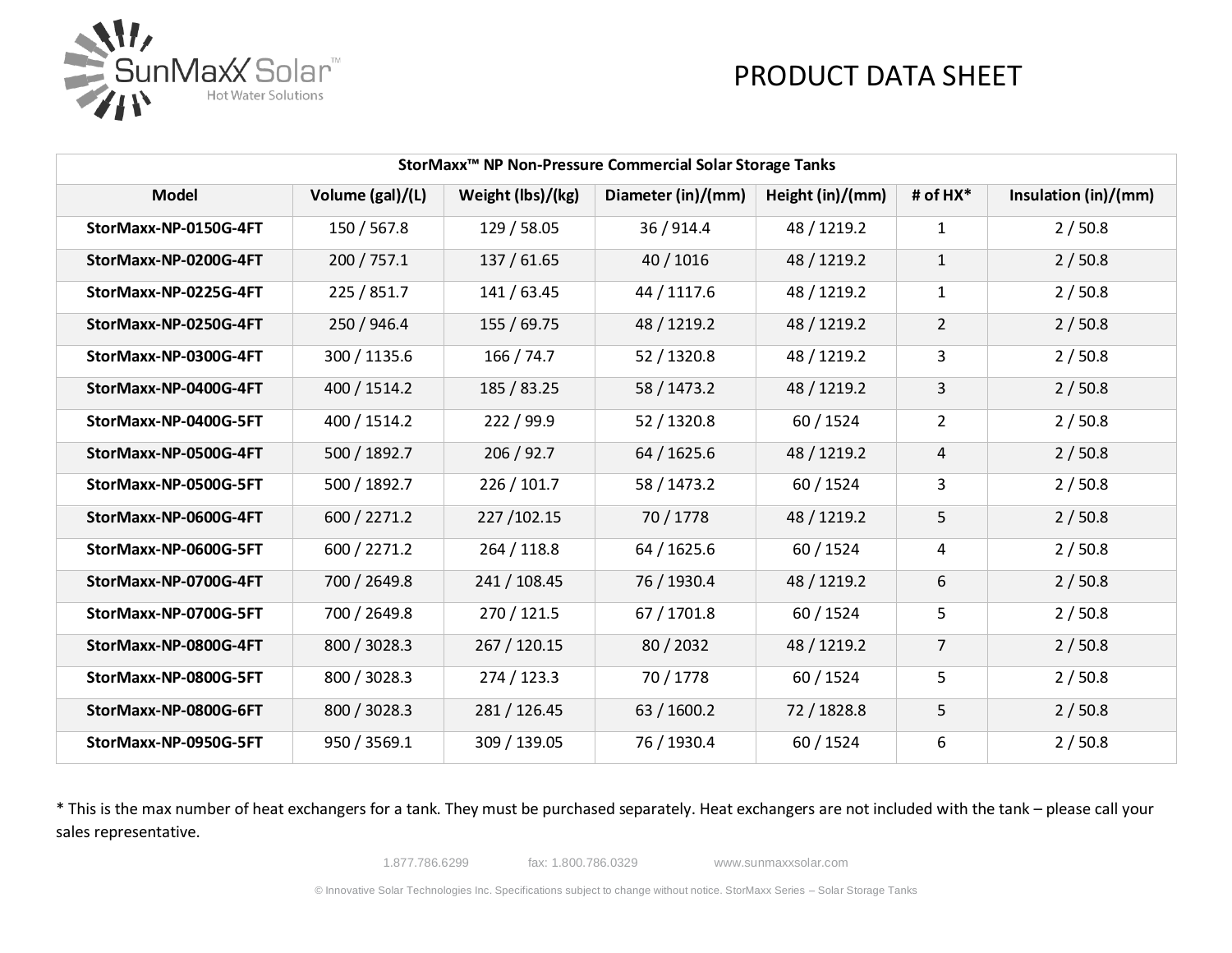

| StorMaxx <sup>™</sup> NP Non-Pressure Commercial Solar Storage Tanks |                  |                   |                    |                  |                |                      |
|----------------------------------------------------------------------|------------------|-------------------|--------------------|------------------|----------------|----------------------|
| <b>Model</b>                                                         | Volume (gal)/(L) | Weight (lbs)/(kg) | Diameter (in)/(mm) | Height (in)/(mm) | # of HX*       | Insulation (in)/(mm) |
| StorMaxx-NP-0150G-4FT                                                | 150 / 567.8      | 129 / 58.05       | 36/914.4           | 48 / 1219.2      | 1              | 2/50.8               |
| StorMaxx-NP-0200G-4FT                                                | 200 / 757.1      | 137 / 61.65       | 40 / 1016          | 48 / 1219.2      | $\mathbf{1}$   | 2/50.8               |
| StorMaxx-NP-0225G-4FT                                                | 225 / 851.7      | 141 / 63.45       | 44 / 1117.6        | 48 / 1219.2      | $\mathbf{1}$   | 2/50.8               |
| StorMaxx-NP-0250G-4FT                                                | 250 / 946.4      | 155 / 69.75       | 48 / 1219.2        | 48 / 1219.2      | $\overline{2}$ | 2/50.8               |
| StorMaxx-NP-0300G-4FT                                                | 300 / 1135.6     | 166 / 74.7        | 52 / 1320.8        | 48 / 1219.2      | 3              | 2/50.8               |
| StorMaxx-NP-0400G-4FT                                                | 400 / 1514.2     | 185 / 83.25       | 58 / 1473.2        | 48 / 1219.2      | 3              | 2/50.8               |
| StorMaxx-NP-0400G-5FT                                                | 400 / 1514.2     | 222 / 99.9        | 52 / 1320.8        | 60 / 1524        | $\overline{2}$ | 2/50.8               |
| StorMaxx-NP-0500G-4FT                                                | 500 / 1892.7     | 206 / 92.7        | 64 / 1625.6        | 48 / 1219.2      | $\overline{4}$ | 2/50.8               |
| StorMaxx-NP-0500G-5FT                                                | 500 / 1892.7     | 226 / 101.7       | 58 / 1473.2        | 60 / 1524        | 3              | 2/50.8               |
| StorMaxx-NP-0600G-4FT                                                | 600 / 2271.2     | 227/102.15        | 70 / 1778          | 48 / 1219.2      | 5              | 2/50.8               |
| StorMaxx-NP-0600G-5FT                                                | 600 / 2271.2     | 264 / 118.8       | 64 / 1625.6        | 60 / 1524        | 4              | 2/50.8               |
| StorMaxx-NP-0700G-4FT                                                | 700 / 2649.8     | 241 / 108.45      | 76 / 1930.4        | 48 / 1219.2      | 6              | 2/50.8               |
| StorMaxx-NP-0700G-5FT                                                | 700 / 2649.8     | 270 / 121.5       | 67 / 1701.8        | 60 / 1524        | 5              | 2/50.8               |
| StorMaxx-NP-0800G-4FT                                                | 800 / 3028.3     | 267 / 120.15      | 80/2032            | 48 / 1219.2      | $\overline{7}$ | 2/50.8               |
| StorMaxx-NP-0800G-5FT                                                | 800 / 3028.3     | 274 / 123.3       | 70 / 1778          | 60 / 1524        | 5              | 2/50.8               |
| StorMaxx-NP-0800G-6FT                                                | 800 / 3028.3     | 281 / 126.45      | 63 / 1600.2        | 72 / 1828.8      | 5              | 2/50.8               |
| StorMaxx-NP-0950G-5FT                                                | 950 / 3569.1     | 309 / 139.05      | 76 / 1930.4        | 60 / 1524        | 6              | 2/50.8               |

\* This is the max number of heat exchangers for a tank. They must be purchased separately. Heat exchangers are not included with the tank – please call your sales representative.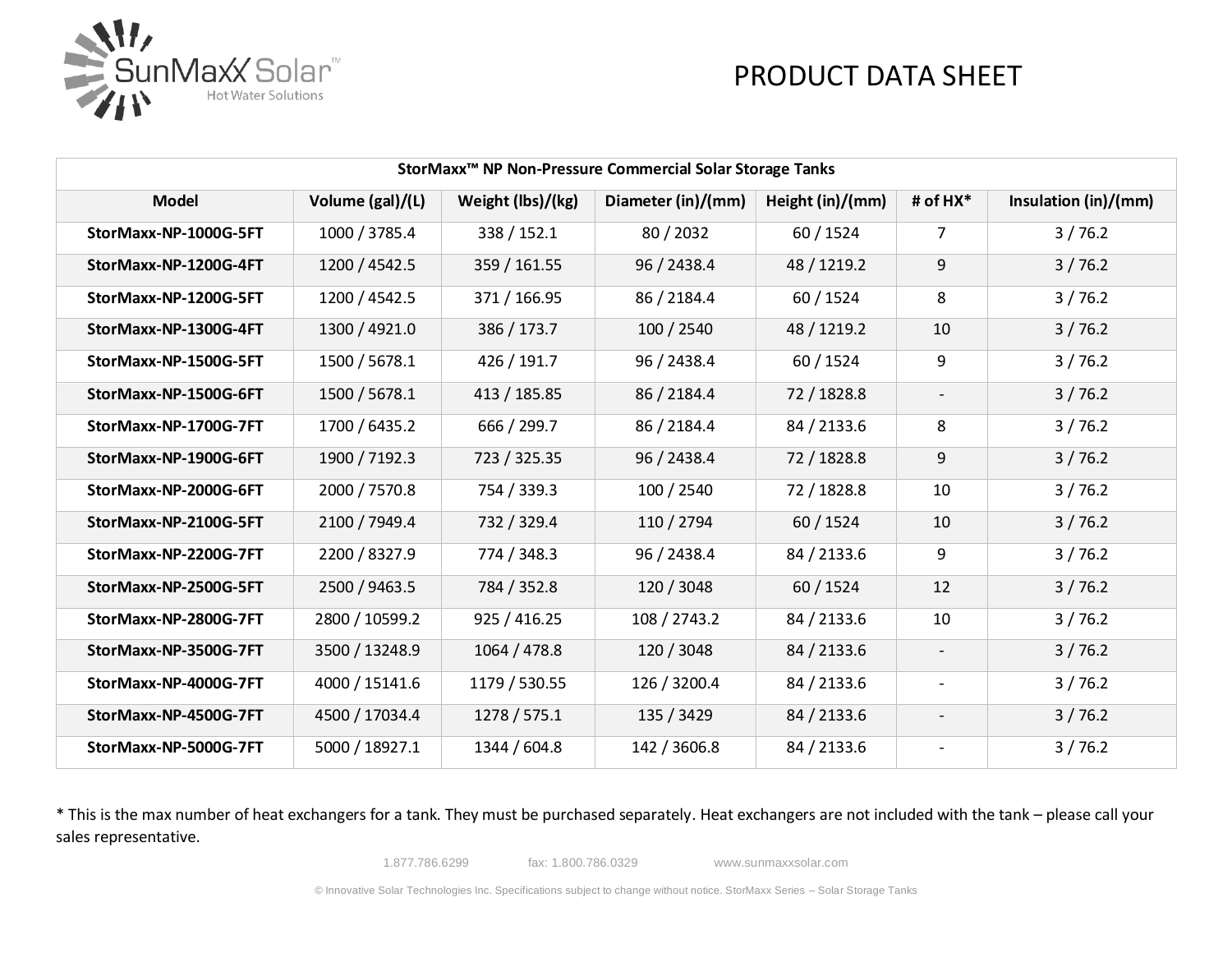

| StorMaxx <sup>™</sup> NP Non-Pressure Commercial Solar Storage Tanks |                  |                   |                    |                  |                          |                      |
|----------------------------------------------------------------------|------------------|-------------------|--------------------|------------------|--------------------------|----------------------|
| <b>Model</b>                                                         | Volume (gal)/(L) | Weight (lbs)/(kg) | Diameter (in)/(mm) | Height (in)/(mm) | # of HX*                 | Insulation (in)/(mm) |
| StorMaxx-NP-1000G-5FT                                                | 1000 / 3785.4    | 338 / 152.1       | 80/2032            | 60 / 1524        | $\overline{7}$           | 3/76.2               |
| StorMaxx-NP-1200G-4FT                                                | 1200 / 4542.5    | 359 / 161.55      | 96 / 2438.4        | 48 / 1219.2      | 9                        | 3/76.2               |
| StorMaxx-NP-1200G-5FT                                                | 1200 / 4542.5    | 371 / 166.95      | 86 / 2184.4        | 60 / 1524        | 8                        | 3/76.2               |
| StorMaxx-NP-1300G-4FT                                                | 1300 / 4921.0    | 386 / 173.7       | 100 / 2540         | 48 / 1219.2      | 10                       | 3/76.2               |
| StorMaxx-NP-1500G-5FT                                                | 1500 / 5678.1    | 426 / 191.7       | 96 / 2438.4        | 60 / 1524        | 9                        | 3/76.2               |
| StorMaxx-NP-1500G-6FT                                                | 1500 / 5678.1    | 413 / 185.85      | 86 / 2184.4        | 72 / 1828.8      | $\overline{\phantom{a}}$ | 3/76.2               |
| StorMaxx-NP-1700G-7FT                                                | 1700 / 6435.2    | 666 / 299.7       | 86 / 2184.4        | 84 / 2133.6      | 8                        | 3/76.2               |
| StorMaxx-NP-1900G-6FT                                                | 1900 / 7192.3    | 723 / 325.35      | 96 / 2438.4        | 72 / 1828.8      | 9                        | 3/76.2               |
| StorMaxx-NP-2000G-6FT                                                | 2000 / 7570.8    | 754 / 339.3       | 100 / 2540         | 72 / 1828.8      | 10                       | 3/76.2               |
| StorMaxx-NP-2100G-5FT                                                | 2100 / 7949.4    | 732 / 329.4       | 110 / 2794         | 60 / 1524        | 10                       | 3/76.2               |
| StorMaxx-NP-2200G-7FT                                                | 2200 / 8327.9    | 774 / 348.3       | 96 / 2438.4        | 84 / 2133.6      | 9                        | 3/76.2               |
| StorMaxx-NP-2500G-5FT                                                | 2500 / 9463.5    | 784 / 352.8       | 120 / 3048         | 60 / 1524        | 12                       | 3/76.2               |
| StorMaxx-NP-2800G-7FT                                                | 2800 / 10599.2   | 925 / 416.25      | 108 / 2743.2       | 84 / 2133.6      | 10                       | 3/76.2               |
| StorMaxx-NP-3500G-7FT                                                | 3500 / 13248.9   | 1064 / 478.8      | 120 / 3048         | 84 / 2133.6      | $\overline{\phantom{a}}$ | 3/76.2               |
| StorMaxx-NP-4000G-7FT                                                | 4000 / 15141.6   | 1179 / 530.55     | 126 / 3200.4       | 84 / 2133.6      | $\overline{\phantom{a}}$ | 3/76.2               |
| StorMaxx-NP-4500G-7FT                                                | 4500 / 17034.4   | 1278 / 575.1      | 135 / 3429         | 84 / 2133.6      | $\overline{\phantom{a}}$ | 3/76.2               |
| StorMaxx-NP-5000G-7FT                                                | 5000 / 18927.1   | 1344 / 604.8      | 142 / 3606.8       | 84 / 2133.6      | $\overline{\phantom{a}}$ | 3/76.2               |

\* This is the max number of heat exchangers for a tank. They must be purchased separately. Heat exchangers are not included with the tank – please call your sales representative.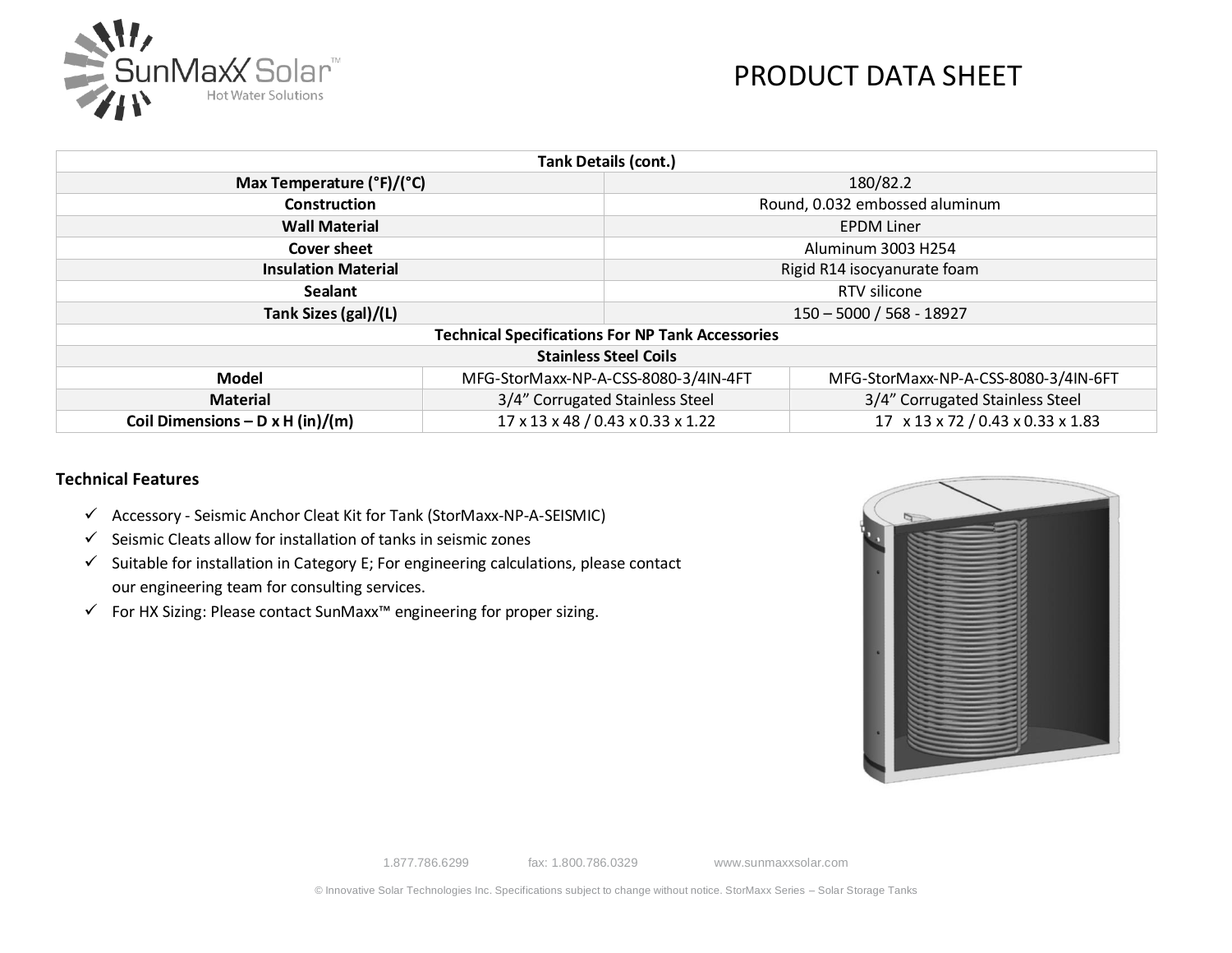

| <b>Tank Details (cont.)</b>               |                                                                        |                                                         |                                      |  |  |
|-------------------------------------------|------------------------------------------------------------------------|---------------------------------------------------------|--------------------------------------|--|--|
| Max Temperature $(^{\circ}F)/(^{\circ}C)$ |                                                                        | 180/82.2                                                |                                      |  |  |
| <b>Construction</b>                       |                                                                        | Round, 0.032 embossed aluminum                          |                                      |  |  |
| <b>Wall Material</b>                      |                                                                        |                                                         | <b>EPDM Liner</b>                    |  |  |
| Cover sheet                               |                                                                        | Aluminum 3003 H254                                      |                                      |  |  |
| <b>Insulation Material</b>                |                                                                        | Rigid R14 isocyanurate foam                             |                                      |  |  |
| <b>Sealant</b>                            |                                                                        | RTV silicone                                            |                                      |  |  |
| Tank Sizes (gal)/(L)                      |                                                                        | 150 - 5000 / 568 - 18927                                |                                      |  |  |
|                                           |                                                                        | <b>Technical Specifications For NP Tank Accessories</b> |                                      |  |  |
|                                           |                                                                        | <b>Stainless Steel Coils</b>                            |                                      |  |  |
| <b>Model</b>                              | MFG-StorMaxx-NP-A-CSS-8080-3/4IN-4FT                                   |                                                         | MFG-StorMaxx-NP-A-CSS-8080-3/4IN-6FT |  |  |
| <b>Material</b>                           | 3/4" Corrugated Stainless Steel                                        |                                                         | 3/4" Corrugated Stainless Steel      |  |  |
| Coil Dimensions – D x H (in)/(m)          | 17 x 13 x 48 / 0.43 x 0.33 x 1.22<br>17 x 13 x 72 / 0.43 x 0.33 x 1.83 |                                                         |                                      |  |  |

#### **Technical Features**

- ✓ Accessory Seismic Anchor Cleat Kit for Tank (StorMaxx-NP-A-SEISMIC)
- $\checkmark$  Seismic Cleats allow for installation of tanks in seismic zones
- $\checkmark$  Suitable for installation in Category E; For engineering calculations, please contact our engineering team for consulting services.
- ✓ For HX Sizing: Please contact SunMaxx™ engineering for proper sizing.

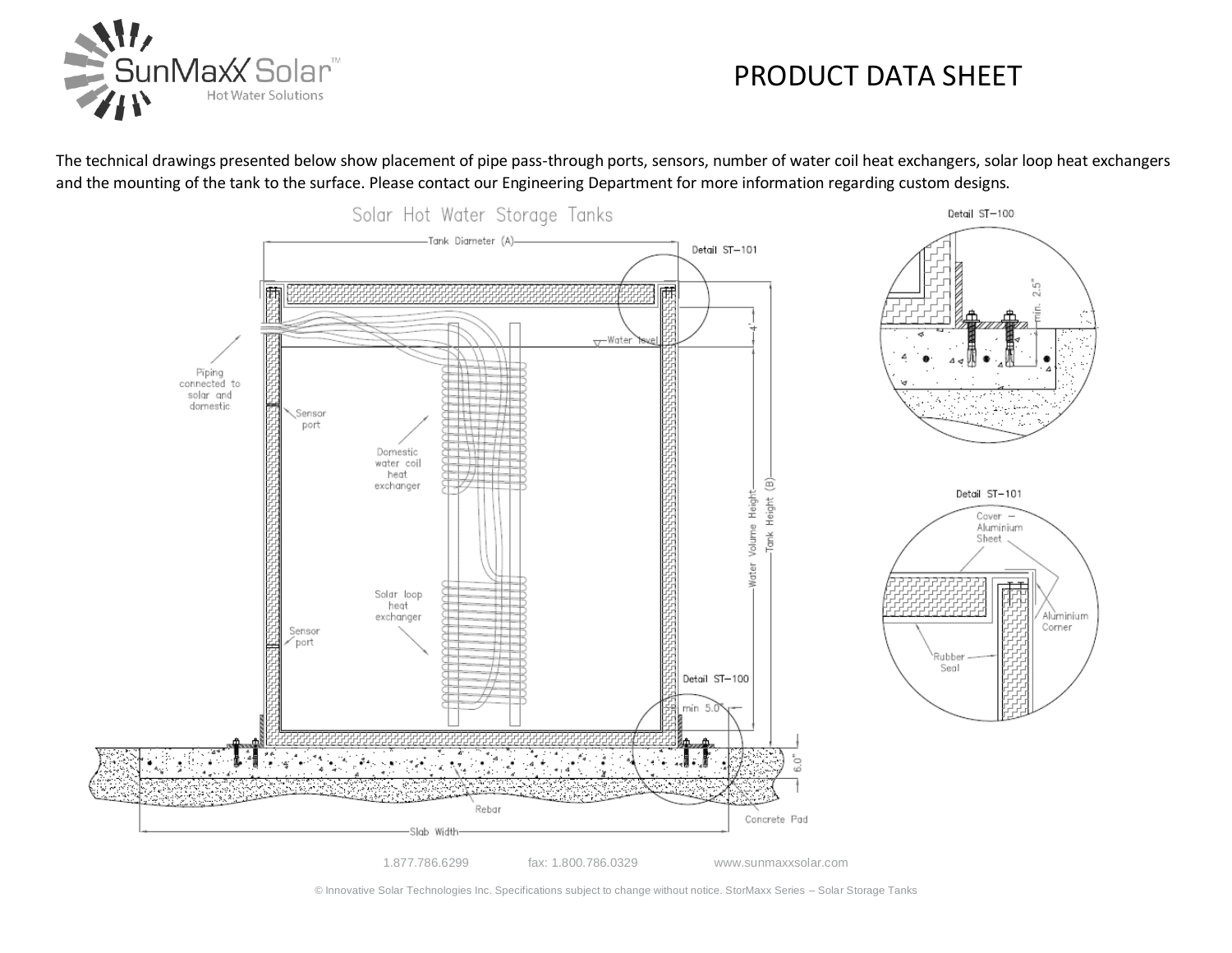

The technical drawings presented below show placement of pipe pass-through ports, sensors, number of water coil heat exchangers, solar loop heat exchangers and the mounting of the tank to the surface. Please contact our Engineering Department for more information regarding custom designs.



© Innovative Solar Technologies Inc. Specifications subject to change without notice. StorMaxx Series – Solar Storage Tanks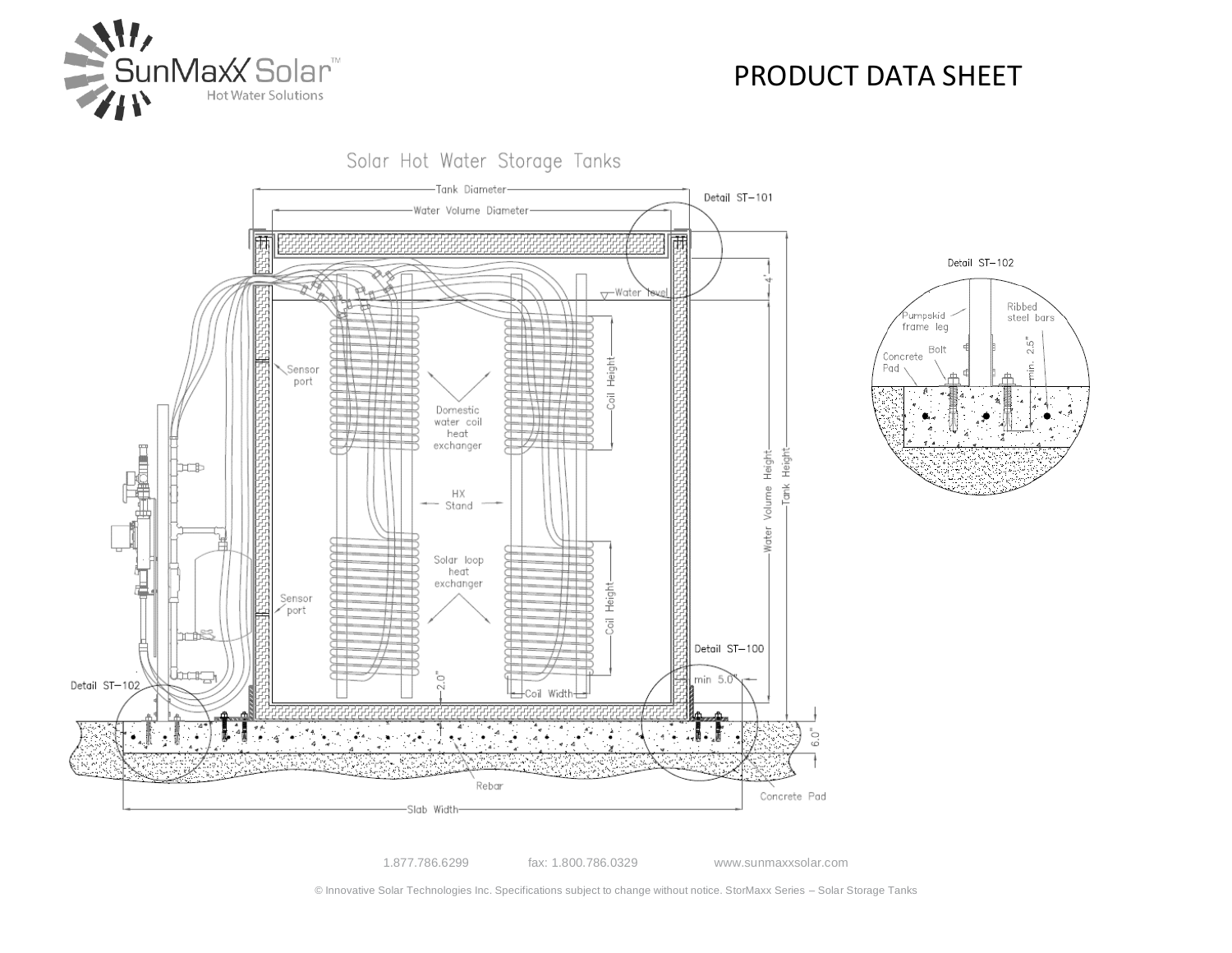

Solar Hot Water Storage Tanks -Tank Diameter Detail ST-101 Water Volume Diameter 乕 雨 <del>∨</del>Water Heigh Sensor port  $\overline{5}$ Domestic water coil heat **Algebrar** exchanger Tank Height Water Volume Height 'nЪ НX Stand Solar loop heat exchanger Height Sensor port)  $\overline{\circ}$ Detail ST-100 lbar<sub>a</sub> min 5.0 Detail ST-102 Width-6.0"

Rebar

-Slab Width-

Detail ST-102 Ribbed<br>steel bars .<br>Purnpskid frame leg 2.5" Bolt Concrete Ė. Pad

1.877.786.6299 fax: 1.800.786.0329 www.sunmaxxsolar.com

Concrete Pad

© Innovative Solar Technologies Inc. Specifications subject to change without notice. StorMaxx Series – Solar Storage Tanks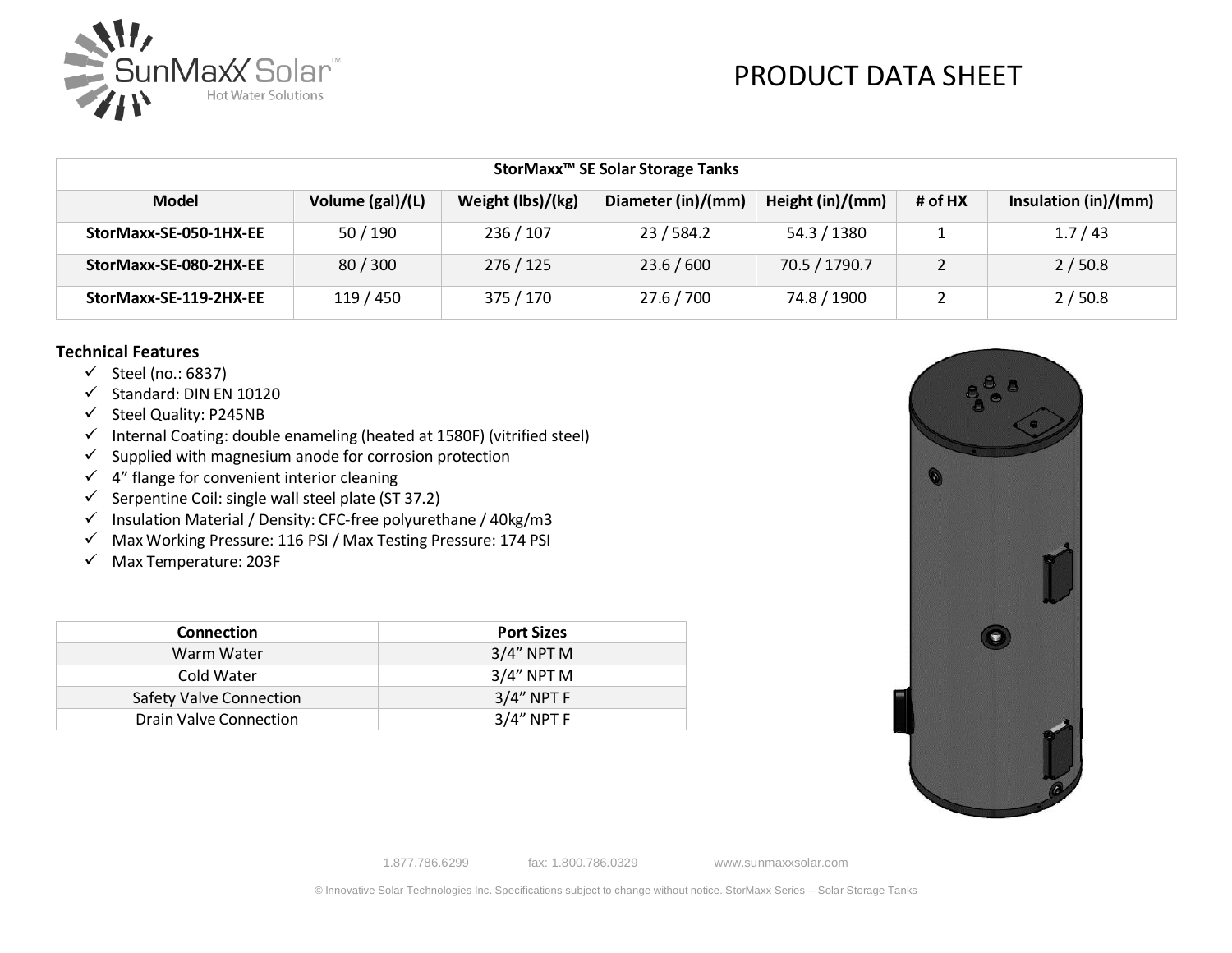

| StorMaxx <sup>™</sup> SE Solar Storage Tanks |                  |                   |                    |                  |         |                      |
|----------------------------------------------|------------------|-------------------|--------------------|------------------|---------|----------------------|
| <b>Model</b>                                 | Volume (gal)/(L) | Weight (lbs)/(kg) | Diameter (in)/(mm) | Height (in)/(mm) | # of HX | Insulation (in)/(mm) |
| StorMaxx-SE-050-1HX-EE                       | 50 / 190         | 236 / 107         | 23/584.2           | 54.3 / 1380      |         | 1.7/43               |
| StorMaxx-SE-080-2HX-EE                       | 80/300           | 276 / 125         | 23.6 / 600         | 70.5 / 1790.7    |         | 2/50.8               |
| StorMaxx-SE-119-2HX-EE                       | 119 / 450        | 375 / 170         | 27.6 / 700         | 74.8 / 1900      |         | 2/50.8               |

#### **Technical Features**

- $\checkmark$  Steel (no.: 6837)
- ✓ Standard: DIN EN 10120
- ✓ Steel Quality: P245NB
- ✓ Internal Coating: double enameling (heated at 1580F) (vitrified steel)
- $\checkmark$  Supplied with magnesium anode for corrosion protection
- $\checkmark$  4" flange for convenient interior cleaning
- $\checkmark$  Serpentine Coil: single wall steel plate (ST 37.2)
- ✓ Insulation Material / Density: CFC-free polyurethane / 40kg/m3
- ✓ Max Working Pressure: 116 PSI / Max Testing Pressure: 174 PSI
- ✓ Max Temperature: 203F

| <b>Connection</b>       | <b>Port Sizes</b> |
|-------------------------|-------------------|
| Warm Water              | $3/4"$ NPT M      |
| Cold Water              | $3/4"$ NPT M      |
| Safety Valve Connection | $3/4"$ NPT F      |
| Drain Valve Connection  | $3/4"$ NPT F      |



1.877.786.6299 fax: 1.800.786.0329 www.sunmaxxsolar.com

© Innovative Solar Technologies Inc. Specifications subject to change without notice. StorMaxx Series – Solar Storage Tanks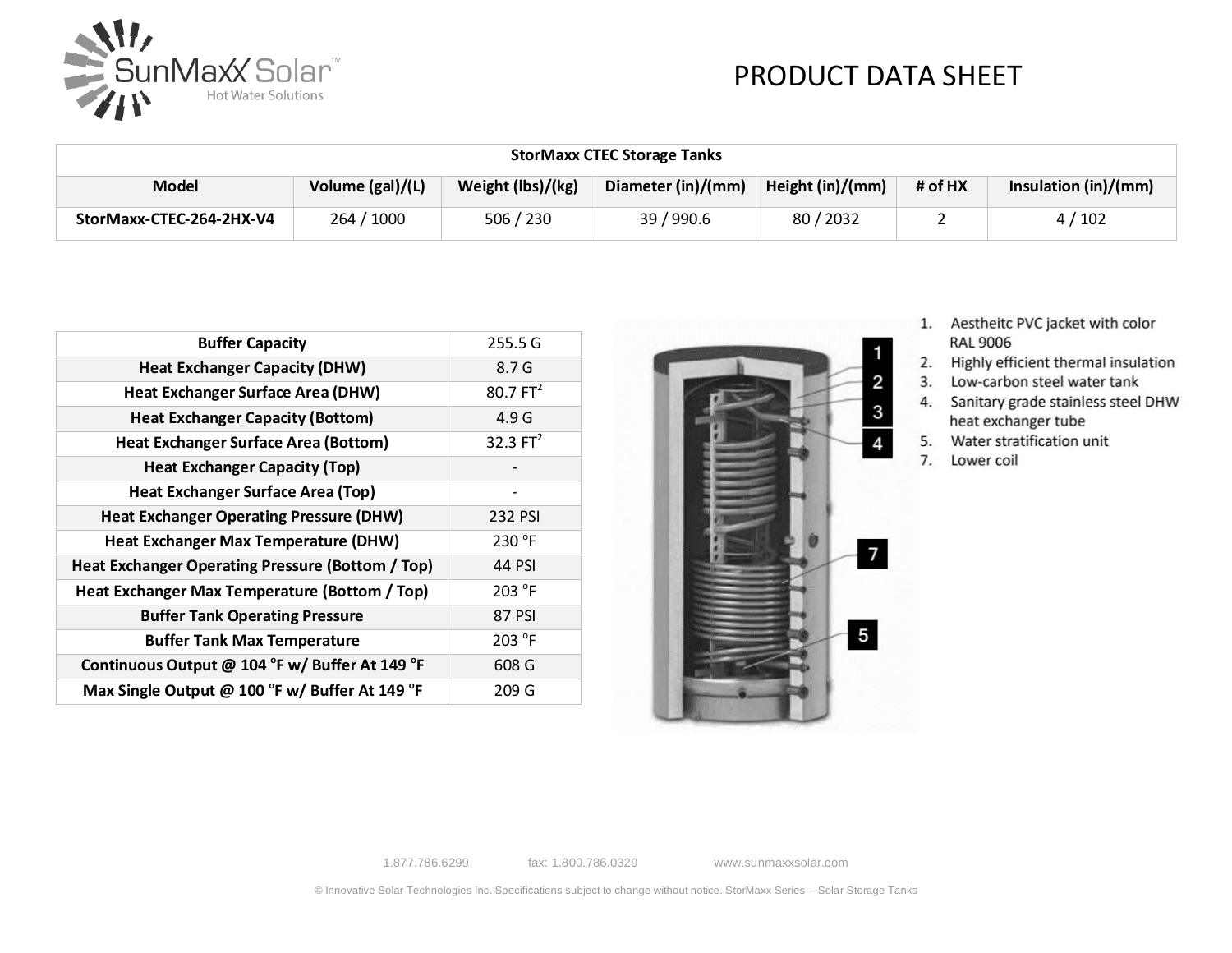

| <b>StorMaxx CTEC Storage Tanks</b> |                  |                   |                    |                  |         |                        |
|------------------------------------|------------------|-------------------|--------------------|------------------|---------|------------------------|
| <b>Model</b>                       | Volume (gal)/(L) | Weight (lbs)/(kg) | Diameter (in)/(mm) | Height (in)/(mm) | # of HX | Insulation $(in)/(mm)$ |
| StorMaxx-CTEC-264-2HX-V4           | 264 / 1000       | 506 / 230         | 39 / 990.6         | 80/2032          |         | 4/102                  |

| <b>Buffer Capacity</b>                           | 255.5 G     |
|--------------------------------------------------|-------------|
| <b>Heat Exchanger Capacity (DHW)</b>             | 8.7 G       |
| <b>Heat Exchanger Surface Area (DHW)</b>         | $80.7 FT^2$ |
| <b>Heat Exchanger Capacity (Bottom)</b>          | 4.9 G       |
| <b>Heat Exchanger Surface Area (Bottom)</b>      | 32.3 $FT2$  |
| <b>Heat Exchanger Capacity (Top)</b>             |             |
| <b>Heat Exchanger Surface Area (Top)</b>         |             |
| <b>Heat Exchanger Operating Pressure (DHW)</b>   | 232 PSI     |
| Heat Exchanger Max Temperature (DHW)             | 230 °F      |
| Heat Exchanger Operating Pressure (Bottom / Top) | 44 PSI      |
| Heat Exchanger Max Temperature (Bottom / Top)    | 203 °F      |
| <b>Buffer Tank Operating Pressure</b>            | 87 PSI      |
| <b>Buffer Tank Max Temperature</b>               | 203 °F      |
| Continuous Output @ 104 °F w/ Buffer At 149 °F   | 608 G       |
| Max Single Output @ 100 °F w/ Buffer At 149 °F   | 209 G       |



- 1. Aestheitc PVC jacket with color **RAL 9006**
- 2. Highly efficient thermal insulation
- 3. Low-carbon steel water tank
- 4. Sanitary grade stainless steel DHW heat exchanger tube
- 5. Water stratification unit
- 7. Lower coil